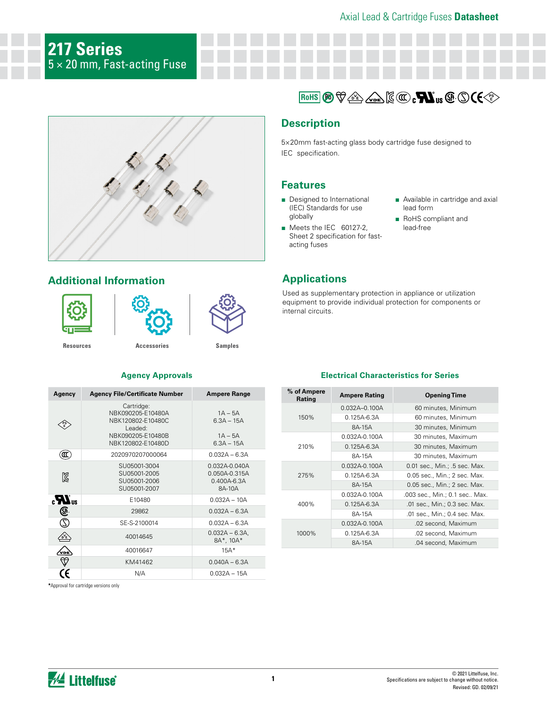# **217 Series**  $5\times 20$  mm, Fast-acting Fuse



# **Additional Information**







**[Resources](https://www.littelfuse.com/products/fuses/cartridge-fuses/5x20mm-fuses/217.aspx#TechnicalResources) [Accessories](https://www.littelfuse.com/products/fuses/cartridge-fuses/5x20mm-fuses/217.aspx#EnvironmentalInfo) [Samples](https://www.littelfuse.com/products/fuses/cartridge-fuses/5x20mm-fuses/217.aspx#ElectricalCharacteristics)**

## **Agency Approvals**

| Agency                | <b>Agency File/Certificate Number</b>                                                                     | <b>Ampere Range</b>                                             |
|-----------------------|-----------------------------------------------------------------------------------------------------------|-----------------------------------------------------------------|
| PS<br>E               | Cartridge:<br>NBK090205-E10480A<br>NBK120802-E10480C<br>Leaded:<br>NBK090205-E10480B<br>NBK120802-E10480D | $1A - 5A$<br>$6.3A - 15A$<br>$1A - 5A$<br>$6.3A - 15A$          |
| Œ                     | 2020970207000064                                                                                          | $0.032A - 6.3A$                                                 |
| Ñ                     | SU05001-3004<br>SU05001-2005<br>SU05001-2006<br>SU05001-2007                                              | $0.032A - 0.040A$<br>0.050A-0.315A<br>$0.400A - 6.3A$<br>8A-10A |
| $_{\alpha}T_{\alpha}$ | E10480                                                                                                    | $0.032A - 10A$                                                  |
| ⊕                     | 29862                                                                                                     | $0.032A - 6.3A$                                                 |
| Z                     | SE-S-2100014                                                                                              | $0.032A - 6.3A$                                                 |
|                       | 40014645                                                                                                  | $0.032A - 6.3A$<br>8A*, 10A*                                    |
| VDE                   | 40016647                                                                                                  | $15A*$                                                          |
| $\heartsuit$          | KM41462                                                                                                   | $0.040A - 6.3A$                                                 |
|                       | N/A                                                                                                       | $0.032A - 15A$                                                  |

**\***Approval for cartridge versions only

# $\mathbb{E}[\mathbb{E}[\mathbb{E}[\mathbb{E}[\mathbb{E}[\mathbb{E}[\mathbb{E}[\mathbb{E}[\mathbb{E}[\mathbb{E}[\mathbb{E}[\mathbb{E}[\mathbb{E}[\mathbb{E}[\mathbb{E}[\mathbb{E}[\mathbb{E}[\mathbb{E}[\mathbb{E}[\mathbb{E}[\mathbb{E}[\mathbb{E}[\mathbb{E}[\mathbb{E}[\mathbb{E}[\mathbb{E}[\mathbb{E}[\mathbb{E}[\mathbb{E}[\mathbb{E}[\mathbb{E}[\mathbb{E}[\mathbb{E}[\mathbb{E}[\mathbb{E}[\mathbb{E}[\mathbb{$

## **Description**

5×20mm fast-acting glass body cartridge fuse designed to IEC specification.

## **Features**

- Designed to International (IEC) Standards for use globally
- Meets the IEC 60127-2, Sheet 2 specification for fastacting fuses
- Available in cartridge and axial lead form
- RoHS compliant and lead-free

# **Applications**

Used as supplementary protection in appliance or utilization equipment to provide individual protection for components or internal circuits.

## **Electrical Characteristics for Series**

| % of Ampere<br>Rating | <b>Ampere Rating</b> | <b>Opening Time</b>           |  |  |  |  |
|-----------------------|----------------------|-------------------------------|--|--|--|--|
|                       | $0.032A - 0.100A$    | 60 minutes, Minimum           |  |  |  |  |
| 150%                  | $0.125A - 6.3A$      | 60 minutes, Minimum           |  |  |  |  |
|                       | 8A-15A               | 30 minutes, Minimum           |  |  |  |  |
|                       | $0.032A - 0.100A$    | 30 minutes, Maximum           |  |  |  |  |
| 210%                  | $0.125A - 6.3A$      | 30 minutes, Maximum           |  |  |  |  |
|                       | 8A-15A               | 30 minutes, Maximum           |  |  |  |  |
|                       | 0.032A-0.100A        | 0.01 sec., Min.; .5 sec. Max. |  |  |  |  |
| 275%                  | $0.125A - 6.3A$      | 0.05 sec., Min.; 2 sec. Max.  |  |  |  |  |
|                       | 8A-15A               | 0.05 sec., Min.; 2 sec. Max.  |  |  |  |  |
|                       | $0.032A - 0.100A$    | .003 sec., Min.; 0.1 sec Max. |  |  |  |  |
| 400%                  | 0.125A-6.3A          | .01 sec., Min.; 0.3 sec. Max. |  |  |  |  |
|                       | 8A-15A               | .01 sec., Min.; 0.4 sec. Max. |  |  |  |  |
|                       | 0.032A-0.100A        | .02 second, Maximum           |  |  |  |  |
| 1000%                 | $0.125A - 6.3A$      | .02 second, Maximum           |  |  |  |  |
|                       | 8A-15A               | .04 second, Maximum           |  |  |  |  |

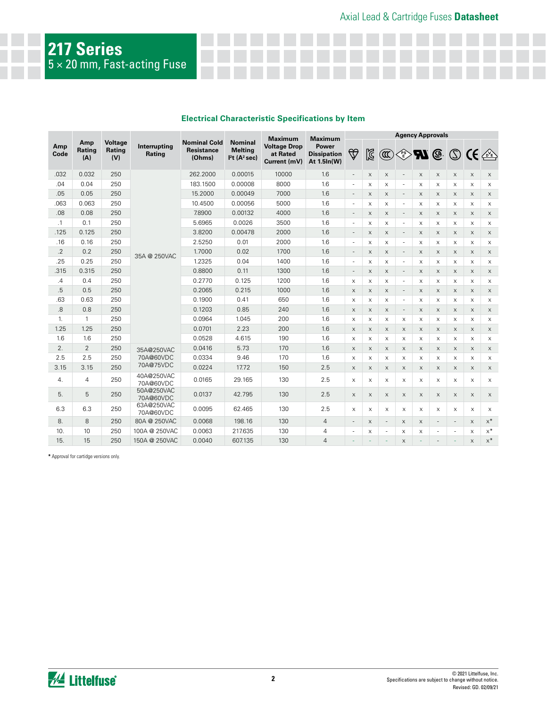## **Electrical Characteristic Specifications by Item**

|                    |                |                                                           |                         |                                                    |                                                                                                                              | Maximum            | Maximum<br><b>Power</b><br><b>Dissipation</b><br>At 1.5In(W) | <b>Agency Approvals</b>   |                           |                          |                          |                           |                          |                           |                           |             |
|--------------------|----------------|-----------------------------------------------------------|-------------------------|----------------------------------------------------|------------------------------------------------------------------------------------------------------------------------------|--------------------|--------------------------------------------------------------|---------------------------|---------------------------|--------------------------|--------------------------|---------------------------|--------------------------|---------------------------|---------------------------|-------------|
| Amp<br>Code<br>(A) | Amp<br>Rating  | <b>Voltage</b><br>Interrupting<br>Rating<br>Rating<br>(V) |                         | <b>Nominal Cold</b><br><b>Resistance</b><br>(Ohms) | <b>Nominal</b><br><b>Voltage Drop</b><br><b>Melting</b><br>at Rated<br>I <sup>2</sup> t (A <sup>2</sup> sec)<br>Current (mV) | $\bigtriangledown$ |                                                              | ⊠                         | $\circledR$               |                          |                          |                           |                          |                           | ◈₩᠖⑤ᢗ€企                   |             |
| .032               | 0.032          | 250                                                       |                         | 262.2000                                           | 0.00015                                                                                                                      | 10000              | 1.6                                                          | $\overline{\phantom{a}}$  | $\boldsymbol{\mathsf{X}}$ | X                        | $\overline{\phantom{a}}$ | $\boldsymbol{\mathsf{X}}$ | $\mathsf X$              | $\mathsf X$               | $\boldsymbol{\mathsf{X}}$ | $\times$    |
| .04                | 0.04           | 250                                                       |                         | 183.1500                                           | 0.00008                                                                                                                      | 8000               | 1.6                                                          | $\overline{\phantom{a}}$  | $\boldsymbol{\mathsf{X}}$ | $\times$                 | ٠                        | X                         | $\boldsymbol{\times}$    | $\boldsymbol{\times}$     | X                         | X           |
| .05                | 0.05           | 250                                                       |                         | 15,2000                                            | 0.00049                                                                                                                      | 7000               | 1.6                                                          | $\overline{\phantom{a}}$  | $\times$                  | X                        |                          | X                         | $\times$                 | X                         | $\times$                  | $\mathsf X$ |
| .063               | 0.063          | 250                                                       |                         | 10.4500                                            | 0.00056                                                                                                                      | 5000               | 1.6                                                          | $\overline{\phantom{a}}$  | $\times$                  | $\times$                 | $\overline{\phantom{a}}$ | X                         | $\times$                 | X                         | X                         | X           |
| .08                | 0.08           | 250                                                       |                         | 7.8900                                             | 0.00132                                                                                                                      | 4000               | 1.6                                                          | $\overline{\phantom{a}}$  | X                         | X                        | $\overline{\phantom{a}}$ | X                         | X                        | X                         | X                         | $\times$    |
| $\cdot$ 1          | 0.1            | 250                                                       |                         | 5.6965                                             | 0.0026                                                                                                                       | 3500               | 1.6                                                          | $\overline{\phantom{a}}$  | $\times$                  | $\times$                 | ٠                        | X                         | $\times$                 | $\times$                  | X                         | X           |
| .125               | 0.125          | 250                                                       |                         | 3.8200                                             | 0.00478                                                                                                                      | 2000               | 1.6                                                          | $\overline{\phantom{a}}$  | $\times$                  | $\times$                 | $\overline{\phantom{a}}$ | X                         | $\times$                 | $\times$                  | X                         | X           |
| .16                | 0.16           | 250                                                       |                         | 2.5250                                             | 0.01                                                                                                                         | 2000               | 1.6                                                          | $\overline{\phantom{a}}$  | $\times$                  | $\times$                 |                          | X                         | $\times$                 | X                         | X                         | X           |
| $\cdot$ .2         | 0.2            | 250                                                       | 35A @ 250VAC            | 1.7000                                             | 0.02                                                                                                                         | 1700               | 1.6                                                          | $\overline{\phantom{a}}$  | $\times$                  | $\times$                 | $\overline{\phantom{a}}$ | X                         | $\times$                 | X                         | $\times$                  | $\times$    |
| .25                | 0.25           | 250                                                       |                         | 1.2325                                             | 0.04                                                                                                                         | 1400               | 1.6                                                          | $\overline{\phantom{a}}$  | $\times$                  | $\times$                 | $\overline{\phantom{a}}$ | X                         | $\times$                 | $\times$                  | X                         | X           |
| .315               | 0.315          | 250                                                       |                         | 0.8800                                             | 0.11                                                                                                                         | 1300               | 1.6                                                          | $\overline{\phantom{a}}$  | $\times$                  | $\times$                 | $\overline{\phantom{a}}$ | $\times$                  | $\times$                 | X                         | $\times$                  | $\times$    |
| .4                 | 0.4            | 250                                                       |                         | 0.2770                                             | 0.125                                                                                                                        | 1200               | 1.6                                                          | $\times$                  | X                         | X                        | $\overline{\phantom{a}}$ | $\times$                  | $\times$                 | $\boldsymbol{\times}$     | X                         | X           |
| .5                 | 0.5            | 250                                                       |                         | 0.2065                                             | 0.215                                                                                                                        | 1000               | 1.6                                                          | $\mathsf X$               | $\boldsymbol{\mathsf{X}}$ | $\mathsf X$              |                          | $\boldsymbol{\mathsf{X}}$ | $\mathsf X$              | $\boldsymbol{\mathsf{X}}$ | $\boldsymbol{\mathsf{X}}$ | X           |
| .63                | 0.63           | 250                                                       |                         | 0.1900                                             | 0.41                                                                                                                         | 650                | 1.6                                                          | $\times$                  | $\times$                  | $\times$                 | $\overline{\phantom{a}}$ | X                         | X                        | X                         | X                         | X           |
| .8                 | 0.8            | 250                                                       |                         | 0.1203                                             | 0.85                                                                                                                         | 240                | 1.6                                                          | $\mathsf X$               | $\boldsymbol{\mathsf{X}}$ | $\mathsf X$              | $\overline{\phantom{a}}$ | X                         | $\times$                 | $\boldsymbol{\mathsf{X}}$ | $\mathsf X$               | $\mathsf X$ |
| $\mathbf{1}$ .     | $\mathbf{1}$   | 250                                                       |                         | 0.0964                                             | 1.045                                                                                                                        | 200                | 1.6                                                          | $\times$                  | $\times$                  | $\times$                 | $\times$                 | X                         | $\times$                 | $\times$                  | X                         | $\times$    |
| 1.25               | 1.25           | 250                                                       |                         | 0.0701                                             | 2.23                                                                                                                         | 200                | 1.6                                                          | $\mathsf X$               | $\boldsymbol{\mathsf{X}}$ | $\mathsf X$              | $\times$                 | X                         | X                        | $\boldsymbol{\mathsf{X}}$ | $\mathsf X$               | X           |
| 1.6                | 1.6            | 250                                                       |                         | 0.0528                                             | 4.615                                                                                                                        | 190                | 1.6                                                          | $\boldsymbol{\mathsf{X}}$ | $\boldsymbol{\mathsf{X}}$ | $\times$                 | X                        | X                         | $\boldsymbol{\times}$    | X                         | X                         | X           |
| 2.                 | $\overline{2}$ | 250                                                       | 35A@250VAC              | 0.0416                                             | 5.73                                                                                                                         | 170                | 1.6                                                          | $\mathsf X$               | $\boldsymbol{\mathsf{X}}$ | $\mathsf X$              | $\times$                 | $\mathsf X$               | $\times$                 | $\boldsymbol{\mathsf{X}}$ | $\mathsf X$               | $\times$    |
| 2.5                | 2.5            | 250                                                       | 70A@60VDC               | 0.0334                                             | 9.46                                                                                                                         | 170                | 1.6                                                          | X                         | $\boldsymbol{\mathsf{X}}$ | X                        | X                        | X                         | X                        | X                         | X                         | X           |
| 3.15               | 3.15           | 250                                                       | 70A@75VDC               | 0.0224                                             | 17.72                                                                                                                        | 150                | 2.5                                                          | $\mathsf X$               | $\boldsymbol{\mathsf{X}}$ | $\mathsf X$              | $\mathsf X$              | $\mathsf X$               | $\mathsf X$              | $\boldsymbol{\mathsf{X}}$ | $\mathsf X$               | $\mathsf X$ |
| $\overline{4}$ .   | $\overline{4}$ | 250                                                       | 40A@250VAC<br>70A@60VDC | 0.0165                                             | 29.165                                                                                                                       | 130                | 2.5                                                          | $\times$                  | X                         | X                        | $\times$                 | X                         | X                        | X                         | X                         | X           |
| 5.                 | 5              | 250                                                       | 50A@250VAC<br>70A@60VDC | 0.0137                                             | 42.795                                                                                                                       | 130                | 2.5                                                          | $\mathsf X$               | $\times$                  | $\times$                 | $\times$                 | X                         | $\times$                 | $\times$                  | $\times$                  | X           |
| 6.3                | 6.3            | 250                                                       | 63A@250VAC<br>70A@60VDC | 0.0095                                             | 62.465                                                                                                                       | 130                | 2.5                                                          | $\times$                  | $\boldsymbol{\mathsf{X}}$ | $\times$                 | $\times$                 | X                         | X                        | X                         | X                         | X           |
| 8.                 | 8              | 250                                                       | 80A @ 250VAC            | 0.0068                                             | 198.16                                                                                                                       | 130                | $\overline{4}$                                               | $\overline{\phantom{a}}$  | $\boldsymbol{\mathsf{X}}$ | $\overline{\phantom{a}}$ | X                        | X                         | $\overline{\phantom{a}}$ | $\overline{\phantom{a}}$  | $\boldsymbol{\mathsf{X}}$ | $x^*$       |
| 10.                | 10             | 250                                                       | 100A @ 250VAC           | 0.0063                                             | 217.635                                                                                                                      | 130                | 4                                                            | ä,                        | $\boldsymbol{\times}$     | $\overline{\phantom{m}}$ | X                        | X                         | ٠                        |                           | X                         | $x^*$       |
| 15.                | 15             | 250                                                       | 150A @ 250VAC           | 0.0040                                             | 607.135                                                                                                                      | 130                | 4                                                            |                           |                           |                          | $\times$                 |                           |                          |                           | $\times$                  | $x^*$       |

**\*** Approval for cartidge versions only.

**217 Series**

 $5\times 20$  mm, Fast-acting Fuse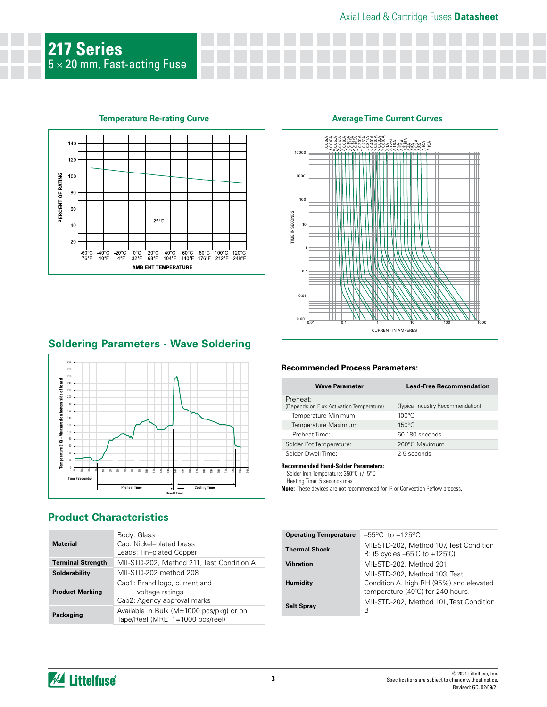# Axial Lead & Cartridge Fuses **Datasheet**



## **Temperature Re-rating Curve**



## **Soldering Parameters - Wave Soldering**



# **Product Characteristics**

| <b>Material</b>          | Body: Glass<br>Cap: Nickel-plated brass<br>Leads: Tin-plated Copper             |
|--------------------------|---------------------------------------------------------------------------------|
| <b>Terminal Strength</b> | MIL-STD-202, Method 211, Test Condition A                                       |
| Solderability            | MII-STD-202 method 208                                                          |
| <b>Product Marking</b>   | Cap1: Brand logo, current and<br>voltage ratings<br>Cap2: Agency approval marks |
| Packaging                | Available in Bulk (M=1000 pcs/pkg) or on<br>Tape/Reel (MRET1=1000 pcs/reel)     |
|                          |                                                                                 |

### **Average Time Current Curves**



### **Recommended Process Parameters:**

| <b>Wave Parameter</b>                                | <b>Lead-Free Recommendation</b>   |
|------------------------------------------------------|-----------------------------------|
| Preheat:<br>(Depends on Flux Activation Temperature) | (Typical Industry Recommendation) |
| Temperature Minimum:                                 | $100^{\circ}$ C                   |
| Temperature Maximum:                                 | $150^{\circ}$ C                   |
| Preheat Time:                                        | 60-180 seconds                    |
| Solder Pot Temperature:                              | 260°C Maximum                     |
| Solder Dwell Time:                                   | 2-5 seconds                       |

#### **Recommended Hand-Solder Parameters:**

Solder Iron Temperature: 350°C +/- 5°C Heating Time: 5 seconds max.

**Note:** These devices are not recommended for IR or Convection Reflow process.

| <b>Operating Temperature</b> | $-55^{\circ}$ C to $+125^{\circ}$ C                                                                           |
|------------------------------|---------------------------------------------------------------------------------------------------------------|
| <b>Thermal Shock</b>         | MIL-STD-202, Method 107, Test Condition<br>B: (5 cycles $-65^{\circ}$ C to $+125^{\circ}$ C)                  |
| <b>Vibration</b>             | MIL-STD-202, Method 201                                                                                       |
| Humidity                     | MIL-STD-202, Method 103, Test<br>Condition A. high RH (95%) and elevated<br>temperature (40°C) for 240 hours. |
| <b>Salt Spray</b>            | MIL-STD-202, Method 101, Test Condition<br>В                                                                  |